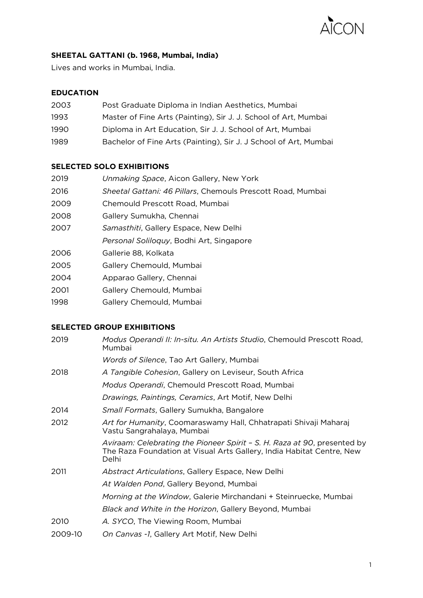

# **SHEETAL GATTANI (b. 1968, Mumbai, India)**

Lives and works in Mumbai, India.

### **EDUCATION**

| 2003  | Post Graduate Diploma in Indian Aesthetics, Mumbai               |
|-------|------------------------------------------------------------------|
| 1993  | Master of Fine Arts (Painting), Sir J. J. School of Art, Mumbai  |
| 1990. | Diploma in Art Education, Sir J. J. School of Art, Mumbai        |
| 1989  | Bachelor of Fine Arts (Painting), Sir J. J School of Art, Mumbai |

### **SELECTED SOLO EXHIBITIONS**

| 2019 | Unmaking Space, Aicon Gallery, New York                     |
|------|-------------------------------------------------------------|
| 2016 | Sheetal Gattani: 46 Pillars, Chemouls Prescott Road, Mumbai |
| 2009 | Chemould Prescott Road, Mumbai                              |
| 2008 | Gallery Sumukha, Chennai                                    |
| 2007 | <i>Samasthiti</i> , Gallery Espace, New Delhi               |
|      | Personal Soliloquy, Bodhi Art, Singapore                    |
| 2006 | Gallerie 88, Kolkata                                        |
| 2005 | Gallery Chemould, Mumbai                                    |
| 2004 | Apparao Gallery, Chennai                                    |
| 2001 | Gallery Chemould, Mumbai                                    |

1998 Gallery Chemould, Mumbai

#### **SELECTED GROUP EXHIBITIONS**

| 2019    | Modus Operandi II: In-situ. An Artists Studio, Chemould Prescott Road,<br>Mumbai                                                                           |
|---------|------------------------------------------------------------------------------------------------------------------------------------------------------------|
|         | <i>Words of Silence</i> , Tao Art Gallery, Mumbai                                                                                                          |
| 2018    | A Tangible Cohesion, Gallery on Leviseur, South Africa                                                                                                     |
|         | Modus Operandi, Chemould Prescott Road, Mumbai                                                                                                             |
|         | Drawings, Paintings, Ceramics, Art Motif, New Delhi                                                                                                        |
| 2014    | Small Formats, Gallery Sumukha, Bangalore                                                                                                                  |
| 2012    | Art for Humanity, Coomaraswamy Hall, Chhatrapati Shivaji Maharaj<br>Vastu Sangrahalaya, Mumbai                                                             |
|         | Aviraam: Celebrating the Pioneer Spirit - S. H. Raza at 90, presented by<br>The Raza Foundation at Visual Arts Gallery, India Habitat Centre, New<br>Delhi |
| 2011    | Abstract Articulations, Gallery Espace, New Delhi                                                                                                          |
|         | At Walden Pond, Gallery Beyond, Mumbai                                                                                                                     |
|         | Morning at the Window, Galerie Mirchandani + Steinruecke, Mumbai                                                                                           |
|         | Black and White in the Horizon, Gallery Beyond, Mumbai                                                                                                     |
| 2010    | A. SYCO, The Viewing Room, Mumbai                                                                                                                          |
| 2009-10 | On Canvas -1, Gallery Art Motif, New Delhi                                                                                                                 |